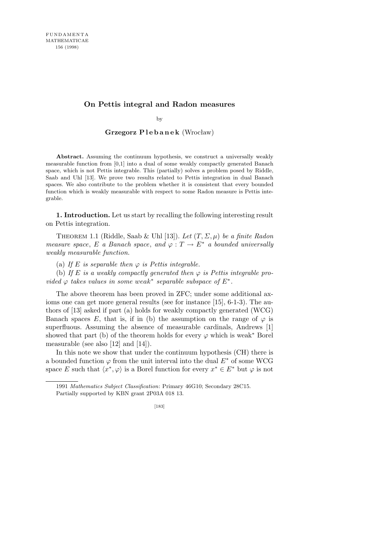## **On Pettis integral and Radon measures**

by

## **Grzegorz P l e b a n e k** (Wrocław)

**Abstract.** Assuming the continuum hypothesis, we construct a universally weakly measurable function from  $[0,1]$  into a dual of some weakly compactly generated Banach space, which is not Pettis integrable. This (partially) solves a problem posed by Riddle, Saab and Uhl [13]. We prove two results related to Pettis integration in dual Banach spaces. We also contribute to the problem whether it is consistent that every bounded function which is weakly measurable with respect to some Radon measure is Pettis integrable.

**1. Introduction.** Let us start by recalling the following interesting result on Pettis integration.

Theorem 1.1 (Riddle, Saab & Uhl [13]). *Let* (*T, Σ, µ*) *be a finite Radon measure space, E a Banach space,* and  $\varphi : T \to E^*$  *a bounded universally weakly measurable function.*

(a) If  $E$  *is separable then*  $\varphi$  *is Pettis integrable.* 

(b) If *E* is a weakly compactly generated then  $\varphi$  is Pettis integrable pro*vided*  $\varphi$  *takes values in some weak<sup>\*</sup> separable subspace of*  $E^*$ .

The above theorem has been proved in ZFC; under some additional axioms one can get more general results (see for instance [15], 6-1-3). The authors of [13] asked if part (a) holds for weakly compactly generated (WCG) Banach spaces E, that is, if in (b) the assumption on the range of  $\varphi$  is superfluous. Assuming the absence of measurable cardinals, Andrews [1] showed that part (b) of the theorem holds for every  $\varphi$  which is weak<sup>\*</sup> Borel measurable (see also [12] and [14]).

In this note we show that under the continuum hypothesis (CH) there is a bounded function  $\varphi$  from the unit interval into the dual  $E^*$  of some WCG space *E* such that  $\langle x^*, \varphi \rangle$  is a Borel function for every  $x^* \in E^*$  but  $\varphi$  is not

<sup>1991</sup> *Mathematics Subject Classification*: Primary 46G10; Secondary 28C15. Partially supported by KBN grant 2P03A 018 13.

<sup>[183]</sup>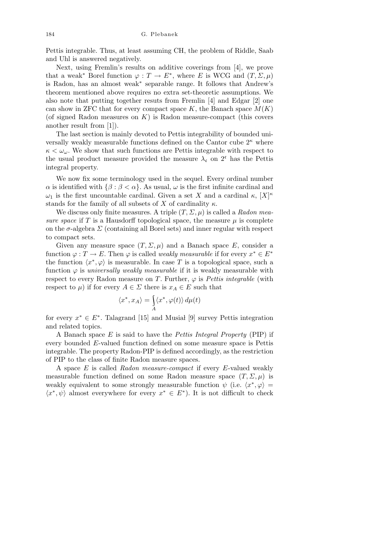Pettis integrable. Thus, at least assuming CH, the problem of Riddle, Saab and Uhl is answered negatively.

Next, using Fremlin's results on additive coverings from [4], we prove that a weak<sup>\*</sup> Borel function  $\varphi : T \to E^*$ , where *E* is WCG and  $(T, \Sigma, \mu)$ is Radon, has an almost weak*<sup>∗</sup>* separable range. It follows that Andrew's theorem mentioned above requires no extra set-theoretic assumptions. We also note that putting together resuts from Fremlin [4] and Edgar [2] one can show in ZFC that for every compact space  $K$ , the Banach space  $M(K)$ (of signed Radon measures on *K*) is Radon measure-compact (this covers another result from [1]).

The last section is mainly devoted to Pettis integrability of bounded universally weakly measurable functions defined on the Cantor cube 2*<sup>κ</sup>* where  $\kappa < \omega_{\omega}$ . We show that such functions are Pettis integrable with respect to the usual product measure provided the measure  $\lambda_c$  on 2<sup>c</sup> has the Pettis integral property.

We now fix some terminology used in the sequel. Every ordinal number *α* is identified with  $\{\beta : \beta < \alpha\}$ . As usual, *ω* is the first infinite cardinal and *ω*<sub>1</sub> is the first uncountable cardinal. Given a set *X* and a cardinal *κ*,  $[X]$ <sup>*κ*</sup> stands for the family of all subsets of *X* of cardinality  $\kappa$ .

We discuss only finite measures. A triple (*T, Σ, µ*) is called a *Radon measure space* if  $T$  is a Hausdorff topological space, the measure  $\mu$  is complete on the  $\sigma$ -algebra  $\Sigma$  (containing all Borel sets) and inner regular with respect to compact sets.

Given any measure space  $(T, \Sigma, \mu)$  and a Banach space E, consider a function  $\varphi : T \to E$ . Then  $\varphi$  is called *weakly measurable* if for every  $x^* \in E^*$ the function  $\langle x^*, \varphi \rangle$  is measurable. In case T is a topological space, such a function  $\varphi$  is *universally weakly measurable* if it is weakly measurable with respect to every Radon measure on *T*. Further,  $\varphi$  is *Pettis integrable* (with respect to  $\mu$ ) if for every  $A \in \Sigma$  there is  $x_A \in E$  such that

$$
\langle x^*,x_A\rangle=\int\limits_A\langle x^*,\varphi(t)\rangle\,d\mu(t)
$$

for every  $x^* \in E^*$ . Talagrand [15] and Musial [9] survey Pettis integration and related topics.

A Banach space *E* is said to have the *Pettis Integral Property* (PIP) if every bounded *E*-valued function defined on some measure space is Pettis integrable. The property Radon-PIP is defined accordingly, as the restriction of PIP to the class of finite Radon measure spaces.

A space *E* is called *Radon measure-compact* if every *E*-valued weakly measurable function defined on some Radon measure space  $(T, \Sigma, \mu)$  is weakly equivalent to some strongly measurable function  $\psi$  (i.e.  $\langle x^*, \varphi \rangle =$  $\langle x^*, \psi \rangle$  almost everywhere for every  $x^* \in E^*$ ). It is not difficult to check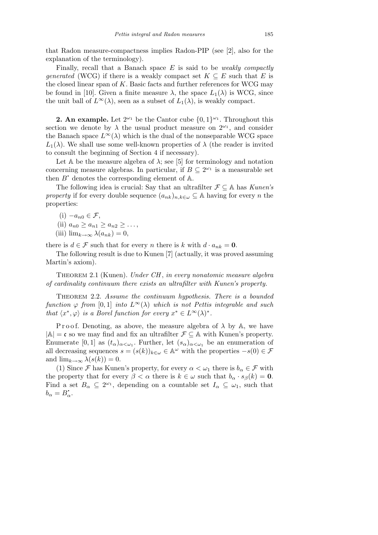that Radon measure-compactness implies Radon-PIP (see [2], also for the explanation of the terminology).

Finally, recall that a Banach space *E* is said to be *weakly compactly generated* (WCG) if there is a weakly compact set  $K \subseteq E$  such that *E* is the closed linear span of *K*. Basic facts and further references for WCG may be found in [10]. Given a finite measure  $\lambda$ , the space  $L_1(\lambda)$  is WCG, since the unit ball of  $L^{\infty}(\lambda)$ , seen as a subset of  $L_1(\lambda)$ , is weakly compact.

**2. An example.** Let  $2^{\omega_1}$  be the Cantor cube  $\{0,1\}^{\omega_1}$ . Throughout this section we denote by  $\lambda$  the usual product measure on  $2^{\omega_1}$ , and consider the Banach space  $L^{\infty}(\lambda)$  which is the dual of the nonseparable WCG space *L*<sub>1</sub>( $λ$ ). We shall use some well-known properties of  $λ$  (the reader is invited to consult the beginning of Section 4 if necessary).

Let  $A$  be the measure algebra of  $\lambda$ ; see [5] for terminology and notation concerning measure algebras. In particular, if  $B \subseteq 2^{\omega_1}$  is a measurable set then  $B^*$  denotes the corresponding element of  $\mathbb{A}$ .

The following idea is crucial: Say that an ultrafilter *F ⊆* A has *Kunen's property* if for every double sequence  $(a_{nk})_{n,k\in\omega} \subseteq A$  having for every *n* the properties:

(i) *−an*<sup>0</sup> *∈ F*, (ii)  $a_{n0} \geq a_{n1} \geq a_{n2} \geq \ldots$  $(iii)$   $\lim_{k\to\infty} \lambda(a_{nk}) = 0$ ,

there is  $d \in \mathcal{F}$  such that for every *n* there is *k* with  $d \cdot a_{nk} = \mathbf{0}$ .

The following result is due to Kunen [7] (actually, it was proved assuming Martin's axiom).

Theorem 2.1 (Kunen). *Under CH* , *in every nonatomic measure algebra of cardinality continuum there exists an ultrafilter with Kunen's property.*

Theorem 2.2. *Assume the continuum hypothesis. There is a bounded function*  $\varphi$  *from* [0,1] *into*  $L^{\infty}(\lambda)$  *which is not Pettis integrable and such that*  $\langle x^*, \varphi \rangle$  *is a Borel function for every*  $x^* \in L^\infty(\lambda)^*$ .

Proof. Denoting, as above, the measure algebra of  $\lambda$  by A, we have *|*A*|* = c so we may find and fix an ultrafilter *F ⊆* A with Kunen's property. Enumerate  $[0,1]$  as  $(t_{\alpha})_{\alpha<\omega_1}$ . Further, let  $(s_{\alpha})_{\alpha<\omega_1}$  be an enumeration of all decreasing sequences  $s = (s(k))_{k \in \omega} \in \mathbb{A}^{\omega}$  with the properties  $-s(0) \in \mathcal{F}$ and  $\lim_{k\to\infty} \lambda(s(k)) = 0$ .

(1) Since *F* has Kunen's property, for every  $\alpha < \omega_1$  there is  $b_\alpha \in \mathcal{F}$  with the property that for every  $\beta < \alpha$  there is  $k \in \omega$  such that  $b_{\alpha} \cdot s_{\beta}(k) = 0$ . Find a set  $B_{\alpha} \subseteq 2^{\omega_1}$ , depending on a countable set  $I_{\alpha} \subseteq \omega_1$ , such that  $b_{\alpha} = B_{\alpha}^{\dagger}.$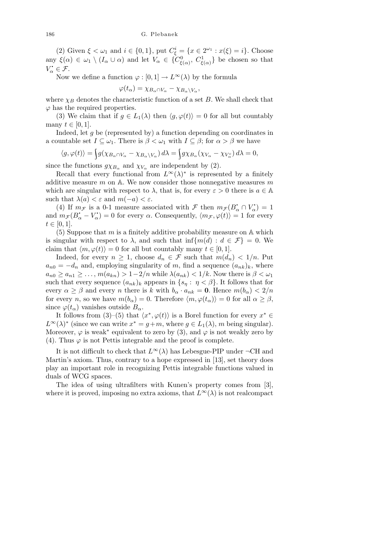(2) Given  $\xi < \omega_1$  and  $i \in \{0, 1\}$ , put  $C^i_{\xi} = \{x \in 2^{\omega_1} : x(\xi) = i\}$ . Choose any  $\xi(\alpha) \in \omega_1 \setminus (I_\alpha \cup \alpha)$  and let  $V_\alpha \in \{C^0_{\xi(\alpha)}, C^1_{\xi(\alpha)}\}$  be chosen so that  $V^{\bullet}_{\alpha} \in \mathcal{F}$ . **.**

Now we define a function  $\varphi : [0,1] \to L^{\infty}(\lambda)$  by the formula

$$
\varphi(t_{\alpha}) = \chi_{B_{\alpha} \cap V_{\alpha}} - \chi_{B_{\alpha} \setminus V_{\alpha}},
$$

where  $\chi_B$  denotes the characteristic function of a set *B*. We shall check that  $\varphi$  has the required properties.

(3) We claim that if  $g \in L_1(\lambda)$  then  $\langle g, \varphi(t) \rangle = 0$  for all but countably many  $t \in [0, 1]$ .

Indeed, let *g* be (represented by) a function depending on coordinates in a countable set  $I \subseteq \omega_1$ . There is  $\beta < \omega_1$  with  $I \subseteq \beta$ ; for  $\alpha > \beta$  we have

$$
\langle g, \varphi(t) \rangle = \int g(\chi_{B_{\alpha} \cap V_{\alpha}} - \chi_{B_{\alpha} \setminus V_{\alpha}}) d\lambda = \int g \chi_{B_{\alpha}}(\chi_{V_{\alpha}} - \chi_{V_{\alpha}^{c}}) d\lambda = 0,
$$

since the functions  $g\chi_{B_\alpha}$  and  $\chi_{V_\alpha}$  are independent by (2).

Recall that every functional from  $L^{\infty}(\lambda)$ <sup>\*</sup> is represented by a finitely additive measure *m* on A. We now consider those nonnegative measures *m* which are singular with respect to  $\lambda$ , that is, for every  $\varepsilon > 0$  there is  $a \in A$ such that  $\lambda(a) < \varepsilon$  and  $m(-a) < \varepsilon$ .

(4) If  $m_F$  is a 0-1 measure associated with *F* then  $m_F(B_\alpha \cap V_\alpha) = 1$ and  $m_{\mathcal{F}}(B_{\alpha}^{\dagger} - V_{\alpha}^{\dagger}) = 0$  for every  $\alpha$ . Consequently,  $\langle m_{\mathcal{F}}, \varphi(t) \rangle = 1$  for every  $t \in [0, 1].$ 

 $(5)$  Suppose that *m* is a finitely additive probability measure on  $A$  which is singular with respect to  $\lambda$ , and such that  $\inf \{m(d) : d \in \mathcal{F}\} = 0$ . We claim that  $\langle m, \varphi(t) \rangle = 0$  for all but countably many  $t \in [0, 1]$ .

Indeed, for every  $n \geq 1$ , choose  $d_n \in \mathcal{F}$  such that  $m(d_n) < 1/n$ . Put  $a_{n0} = -d_n$  and, employing singularity of *m*, find a sequence  $(a_{nk})_k$ , where  $a_{n0} \ge a_{n1} \ge \ldots$ ,  $m(a_{kn}) > 1 - 2/n$  while  $\lambda(a_{nk}) < 1/k$ . Now there is  $\beta < \omega_1$ such that every sequence  $(a_{nk})_k$  appears in  $\{s_n : \eta < \beta\}$ . It follows that for every  $\alpha \geq \beta$  and every *n* there is *k* with  $b_{\alpha} \cdot a_{nk} = 0$ . Hence  $m(b_{\alpha}) < 2/n$ for every *n*, so we have  $m(b_{\alpha}) = 0$ . Therefore  $\langle m, \varphi(t_{\alpha}) \rangle = 0$  for all  $\alpha \geq \beta$ , since  $\varphi(t_\alpha)$  vanishes outside  $B_\alpha$ .

It follows from (3)–(5) that  $\langle x^*, \varphi(t) \rangle$  is a Borel function for every  $x^* \in$  $L^{\infty}(\lambda)$ <sup>\*</sup> (since we can write  $x^* = g+m$ , where  $g \in L_1(\lambda)$ , *m* being singular). Moreover,  $\varphi$  is weak<sup>\*</sup> equivalent to zero by (3), and  $\varphi$  is not weakly zero by (4). Thus  $\varphi$  is not Pettis integrable and the proof is complete.

It is not difficult to check that  $L^{\infty}(\lambda)$  has Lebesgue-PIP under  $\neg$ CH and Martin's axiom. Thus, contrary to a hope expressed in [13], set theory does play an important role in recognizing Pettis integrable functions valued in duals of WCG spaces.

The idea of using ultrafilters with Kunen's property comes from [3], where it is proved, imposing no extra axioms, that  $L^{\infty}(\lambda)$  is not realcompact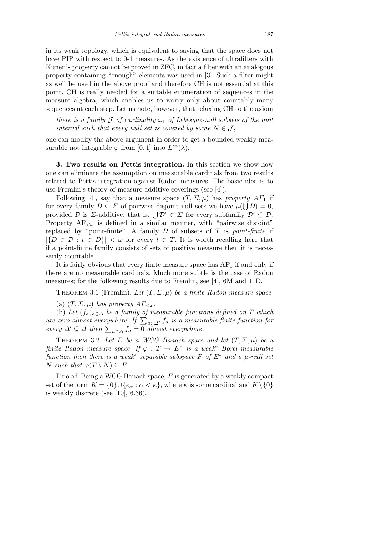in its weak topology, which is equivalent to saying that the space does not have PIP with respect to 0-1 measures. As the existence of ultrafilters with Kunen's property cannot be proved in ZFC, in fact a filter with an analogous property containing "enough" elements was used in [3]. Such a filter might as well be used in the above proof and therefore CH is not essential at this point. CH is really needed for a suitable enumeration of sequences in the measure algebra, which enables us to worry only about countably many sequences at each step. Let us note, however, that relaxing CH to the axiom

*there is a family*  $J$  *of cardinality*  $\omega_1$  *of Lebesgue-null subsets of the unit interval such that every null set is covered by some*  $N \in \mathcal{J}$ ,

one can modify the above argument in order to get a bounded weakly measurable not integrable  $\varphi$  from [0, 1] into  $L^{\infty}(\lambda)$ .

**3. Two results on Pettis integration.** In this section we show how one can eliminate the assumption on measurable cardinals from two results related to Pettis integration against Radon measures. The basic idea is to use Fremlin's theory of measure additive coverings (see [4]).

Following [4], say that a measure space  $(T, \Sigma, \mu)$  has *property*  $AF_1$  if for every family  $\mathcal{D} \subseteq \mathcal{D}$  of pairwise disjoint null sets we have  $\mu(\bigcup \mathcal{D}) = 0$ , for every family  $D \subseteq Z$  of pairwise disjoint null sets we have  $\mu(\bigcup D) = 0$ , provided  $D$  is  $\Sigma$ -additive, that is,  $\bigcup \mathcal{D}' \in \Sigma$  for every subfamily  $\mathcal{D}' \subseteq \mathcal{D}$ . Property  $AF_{\leq \omega}$  is defined in a similar manner, with "pairwise disjoint" replaced by "point-finite". A family *D* of subsets of *T* is *point-finite* if  $|{D \in \mathcal{D} : t \in D}| < \omega$  for every  $t \in T$ . It is worth recalling here that if a point-finite family consists of sets of positive measure then it is necessarily countable.

It is fairly obvious that every finite measure space has  $AF<sub>1</sub>$  if and only if there are no measurable cardinals. Much more subtle is the case of Radon measures; for the following results due to Fremlin, see [4], 6M and 11D.

THEOREM 3.1 (Fremlin). Let  $(T, \Sigma, \mu)$  be a finite Radon measure space.

(a)  $(T, \Sigma, \mu)$  *has property*  $AF_{\leq \omega}$ *.* 

(b) Let  $(f_a)_{a \in \Delta}$  be a family of measurable functions defined on T which (b) Let  $\bigcup_{a \in \Delta} a \in \Delta$  be a jamuy of measurable functions defined on 1 which<br>are zero almost everywhere. If  $\sum_{a \in \Delta'} f_a$  is a measurable finite function for<br>every  $\Delta' \subseteq \Delta$  then  $\sum_{a \in \Delta} f_a = 0$  almost everywhere.

THEOREM 3.2. Let E be a WCG Banach space and let  $(T, \Sigma, \mu)$  be a *finite Radon measure space. If*  $\varphi : T \to E^*$  *is a weak*<sup>\*</sup> *Borel measurable function then there is a weak*<sup>\*</sup> *separable subspace*  $F$  *of*  $E^*$  *and a*  $\mu$ *-null set*  $N$  *such that*  $\varphi(T \setminus N) \subseteq F$ *.* 

P r o o f. Being a WCG Banach space, *E* is generated by a weakly compact set of the form  $K = \{0\} \cup \{e_\alpha : \alpha < \kappa\}$ , where  $\kappa$  is some cardinal and  $K \setminus \{0\}$ is weakly discrete (see [10], 6.36).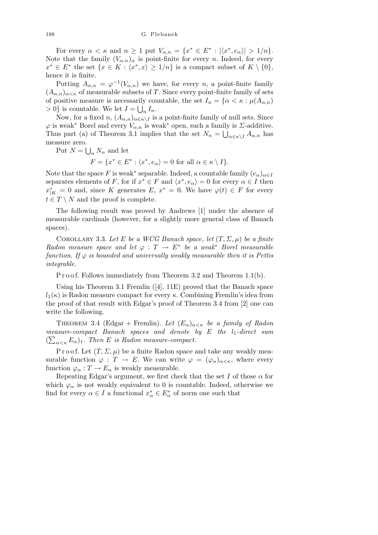For every  $\alpha < \kappa$  and  $n \ge 1$  put  $V_{\alpha,n} = \{x^* \in E^* : |\langle x^*, e_\alpha \rangle| > 1/n\}.$ Note that the family  $(V_{\alpha,n})_{\alpha}$  is point-finite for every *n*. Indeed, for every  $x^* \in E^*$  the set  $\{x \in K : \langle x^*, x \rangle \geq 1/n\}$  is a compact subset of  $K \setminus \{0\}$ , hence it is finite.

Putting  $A_{\alpha,n} = \varphi^{-1}(V_{\alpha,n})$  we have, for every *n*, a point-finite family  $(A_{\alpha,n})_{\alpha<\kappa}$  of measurable subsets of *T*. Since every point-finite family of sets of positive measure is necessarily countable, the set  $I_n = \{ \alpha < \kappa : \mu(A_{\alpha,n}) \}$  $> 0$ } is countable. We let  $I = \bigcup_n I_n$ .

Now, for a fixed  $n$ ,  $(A_{\alpha,n})_{\alpha \in \kappa \setminus I}$  is a point-finite family of null sets. Since  $\varphi$  is weak<sup>\*</sup> Borel and every  $V_{\alpha,n}$  is weak<sup>\*</sup> open, such a family is *Σ*-additive. Thus part (a) of Theorem 3.1 implies that the set  $N_n = \bigcup_{\alpha \in \kappa \setminus I} A_{\alpha,n}$  has measure zero.  $\ddot{\phantom{0}}$ 

Put  $N =$  $n^N$ <sup>n</sup> and let

 $F = \{x^* \in E^* : \langle x^*, e_\alpha \rangle = 0 \text{ for all } \alpha \in \kappa \setminus I\}.$ 

Note that the space F is weak<sup>\*</sup> separable. Indeed, a countable family  $(e_{\alpha})_{\alpha \in I}$ separates elements of *F*, for if  $x^* \in F$  and  $\langle x^*, e_\alpha \rangle = 0$  for every  $\alpha \in I$  then  $x_{|K}^* = 0$  and, since *K* generates *E*,  $x^* = 0$ . We have  $\varphi(t) \in F$  for every  $t \in T \setminus N$  and the proof is complete.

The following result was proved by Andrews [1] under the absence of measurable cardinals (however, for a slightly more general class of Banach spaces).

COROLLARY 3.3. Let E be a WCG Banach space, let  $(T, \Sigma, \mu)$  be a finite *Radon measure space and let*  $\varphi : T \to E^*$  *be a weak*<sup>\*</sup> *Borel measurable function. If*  $\varphi$  *is bounded and universally weakly measurable then it is Pettis integrable.*

P r o o f. Follows immediately from Theorem 3.2 and Theorem 1.1(b).

Using his Theorem 3.1 Fremlin ([4], 11E) proved that the Banach space  $l_1(\kappa)$  is Radon measure compact for every  $\kappa$ . Combining Fremlin's idea from the proof of that result with Edgar's proof of Theorem 3.4 from [2] one can write the following.

THEOREM 3.4 (Edgar + Fremlin). Let  $(E_{\alpha})_{\alpha \leq \kappa}$  be a family of Radon *measure-compact Banach spaces and denote by E the l*1*-direct sum* P  $(\sum_{\alpha<\kappa} E_{\alpha})_1$ . Then *E* is Radon measure-compact.

P r o o f. Let  $(T, \Sigma, \mu)$  be a finite Radon space and take any weakly measurable function  $\varphi : T \to E$ . We can write  $\varphi = (\varphi_{\alpha})_{\alpha < \kappa}$ , where every function  $\varphi_{\alpha}: T \to E_{\alpha}$  is weakly measurable.

Repeating Edgar's argument, we first check that the set  $I$  of those  $\alpha$  for which  $\varphi_{\alpha}$  is not weakly equivalent to 0 is countable. Indeed, otherwise we find for every  $\alpha \in I$  a functional  $x^*_{\alpha} \in E^*_{\alpha}$  of norm one such that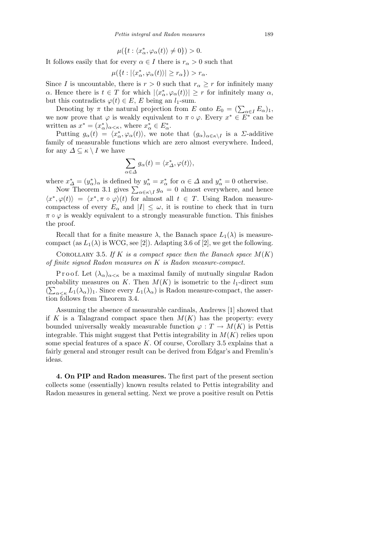$$
\mu(\lbrace t : \langle x^*_{\alpha}, \varphi_{\alpha}(t) \rangle \neq 0 \rbrace) > 0.
$$

It follows easily that for every  $\alpha \in I$  there is  $r_{\alpha} > 0$  such that

$$
\mu(\{t: |\langle x^*_\alpha, \varphi_\alpha(t)\rangle| \ge r_\alpha\}) > r_\alpha.
$$

Since *I* is uncountable, there is  $r > 0$  such that  $r_\alpha \geq r$  for infinitely many *α*. Hence there is  $t \in T$  for which  $|\langle x^*_{\alpha}, \varphi_{\alpha}(t) \rangle| \geq r$  for infinitely many  $\alpha$ , but this contradicts  $\varphi(t) \in E$ , *E* being an *l*<sub>1</sub>-sum.

Denoting by  $\pi$  the natural projection from *E* onto  $E_0 = (\sum_{\alpha \in I} E_{\alpha})_1$ , we now prove that  $\varphi$  is weakly equivalent to  $\pi \circ \varphi$ . Every  $x^* \in E^*$  can be written as  $x^* = (x^*_{\alpha})_{\alpha < \kappa}$ , where  $x^*_{\alpha} \in E^*_{\alpha}$ .

Putting  $g_{\alpha}(t) = \langle x_{\alpha}^*, \varphi_{\alpha}(t) \rangle$ , we note that  $(g_{\alpha})_{\alpha \in \kappa \setminus I}$  is a *Z*-additive family of measurable functions which are zero almost everywhere. Indeed, for any  $\Delta \subseteq \kappa \setminus I$  we have

$$
\sum_{\alpha \in \Delta} g_{\alpha}(t) = \langle x_{\Delta}^*, \varphi(t) \rangle,
$$

where  $x^*_{\Delta} = (y^*_{\alpha})_{\alpha}$  is defined by  $y^*_{\alpha} = x^*_{\alpha}$  for  $\alpha \in \Delta$  and  $y^*_{\alpha} = 0$  otherwise.

 $x_{\Delta} = (y_{\alpha})_{\alpha}$  is defined by  $y_{\alpha} = x_{\alpha}$  for  $\alpha \in \Delta$  and  $y_{\alpha} = 0$  otherwise.<br>Now Theorem 3.1 gives  $\sum_{\alpha \in \kappa \setminus I} g_{\alpha} = 0$  almost everywhere, and hence  $\langle x^*, \varphi(t) \rangle = \langle x^*, \pi \circ \varphi \rangle(t)$  for almost all  $t \in T$ . Using Radon measurecompactess of every  $E_\alpha$  and  $|I| \leq \omega$ , it is routine to check that in turn  $\pi \circ \varphi$  is weakly equivalent to a strongly measurable function. This finishes the proof.

Recall that for a finite measure  $\lambda$ , the Banach space  $L_1(\lambda)$  is measurecompact (as  $L_1(\lambda)$  is WCG, see [2]). Adapting 3.6 of [2], we get the following.

COROLLARY 3.5. If  $K$  *is a compact space then the Banach space*  $M(K)$ *of finite signed Radon measures on K is Radon measure-compact.*

P r o o f. Let  $(\lambda_{\alpha})_{\alpha \leq \kappa}$  be a maximal family of mutually singular Radon probability measures on *K*. Then  $M(K)$  is isometric to the *l*<sub>1</sub>-direct sum  $(\sum_{\alpha<\kappa}L_1(\lambda_\alpha))_1$ . Since every  $L_1(\lambda_\alpha)$  is Radon measure-compact, the assertion follows from Theorem 3.4.

Assuming the absence of measurable cardinals, Andrews [1] showed that if *K* is a Talagrand compact space then  $M(K)$  has the property: every bounded universally weakly measurable function  $\varphi : T \to M(K)$  is Pettis integrable. This might suggest that Pettis integrability in *M*(*K*) relies upon some special features of a space *K*. Of course, Corollary 3.5 explains that a fairly general and stronger result can be derived from Edgar's and Fremlin's ideas.

**4. On PIP and Radon measures.** The first part of the present section collects some (essentially) known results related to Pettis integrability and Radon measures in general setting. Next we prove a positive result on Pettis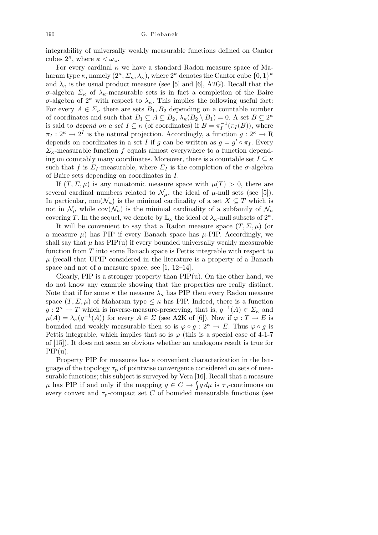integrability of universally weakly measurable functions defined on Cantor cubes  $2^{\kappa}$ , where  $\kappa < \omega_{\omega}$ .

For every cardinal  $\kappa$  we have a standard Radon measure space of Maharam type  $\kappa$ , namely  $(2^{\kappa}, \Sigma_{\kappa}, \lambda_{\kappa})$ , where  $2^{\kappa}$  denotes the Cantor cube  $\{0, 1\}^{\kappa}$ and  $\lambda_{\kappa}$  is the usual product measure (see [5] and [6], A2G). Recall that the *σ*-algebra *Σ<sup>κ</sup>* of *λκ*-measurable sets is in fact a completion of the Baire *σ*-algebra of  $2^k$  with respect to  $\lambda_k$ . This implies the following useful fact: For every  $A \in \Sigma_{\kappa}$  there are sets  $B_1, B_2$  depending on a countable number of coordinates and such that  $B_1 \subseteq A \subseteq B_2$ ,  $\lambda_{\kappa}(B_2 \setminus B_1) = 0$ . A set  $B \subseteq 2^{\kappa}$ is said to *depend on a set*  $I \subseteq \kappa$  (of coordinates) if  $B = \pi_I^{-1}(\pi_I(B))$ , where  $\pi_I : 2^{\kappa} \to 2^I$  is the natural projection. Accordingly, a function  $g : 2^{\kappa} \to \mathbb{R}$ depends on coordinates in a set *I* if *g* can be written as  $g = g' \circ \pi_I$ . Every *Σκ*-measurable function *f* equals almost everywhere to a function depending on countably many coordinates. Moreover, there is a countable set  $I \subseteq \kappa$ such that *f* is  $\Sigma_I$ -measurable, where  $\Sigma_I$  is the completion of the  $\sigma$ -algebra of Baire sets depending on coordinates in *I*.

If  $(T, \Sigma, \mu)$  is any nonatomic measure space with  $\mu(T) > 0$ , there are several cardinal numbers related to  $\mathcal{N}_{\mu}$ , the ideal of  $\mu$ -null sets (see [5]). In particular, non $(\mathcal{N}_\mu)$  is the minimal cardinality of a set  $X \subseteq T$  which is not in  $\mathcal{N}_{\mu}$  while cov $(\mathcal{N}_{\mu})$  is the minimal cardinality of a subfamily of  $\mathcal{N}_{\mu}$ covering *T*. In the sequel, we denote by  $\mathbb{L}_{\kappa}$  the ideal of  $\lambda_{\kappa}$ -null subsets of  $2^{\kappa}$ .

It will be convenient to say that a Radon measure space  $(T, \Sigma, \mu)$  (or a measure  $\mu$ ) has PIP if every Banach space has  $\mu$ -PIP. Accordingly, we shall say that  $\mu$  has PIP(u) if every bounded universally weakly measurable function from *T* into some Banach space is Pettis integrable with respect to  $\mu$  (recall that UPIP considered in the literature is a property of a Banach space and not of a measure space, see [1, 12–14].

Clearly, PIP is a stronger property than  $\text{PIP}(u)$ . On the other hand, we do not know any example showing that the properties are really distinct. Note that if for some  $\kappa$  the measure  $\lambda_{\kappa}$  has PIP then every Radon measure space  $(T, \Sigma, \mu)$  of Maharam type  $\leq \kappa$  has PIP. Indeed, there is a function  $g: 2^{\kappa} \to T$  which is inverse-measure-preserving, that is,  $g^{-1}(A) \in \Sigma_{\kappa}$  and  $\mu(A) = \lambda_{\kappa}(g^{-1}(A))$  for every  $A \in \Sigma$  (see A2K of [6]). Now if  $\varphi : T \to E$  is bounded and weakly measurable then so is  $\varphi \circ g : 2^{\kappa} \to E$ . Thus  $\varphi \circ g$  is Pettis integrable, which implies that so is  $\varphi$  (this is a special case of 4-1-7 of [15]). It does not seem so obvious whether an analogous result is true for  $PIP(u)$ .

Property PIP for measures has a convenient characterization in the language of the topology  $\tau_{\rm p}$  of pointwise convergence considered on sets of measurable functions; this subject is surveyed by Vera [16]. Recall that a measure  $\mu$  has PIP if and only if the mapping  $g \in C \rightarrow \int g d\mu$  is  $\tau_p$ -continuous on every convex and  $\tau_{p}$ -compact set *C* of bounded measurable functions (see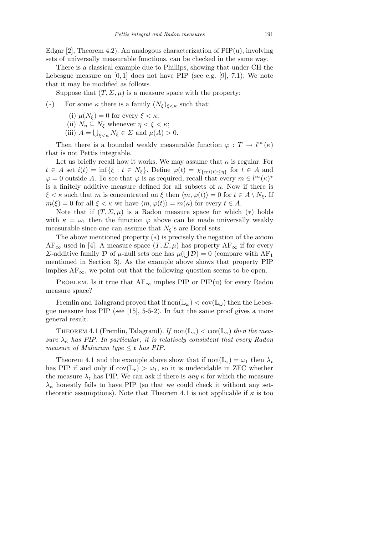Edgar [2], Theorem 4.2). An analogous characterization of  $\text{PIP}(u)$ , involving sets of universally measurable functions, can be checked in the same way.

There is a classical example due to Phillips, showing that under CH the Lebesgue measure on [0*,* 1] does not have PIP (see e.g. [9], 7.1). We note that it may be modified as follows.

Suppose that  $(T, \Sigma, \mu)$  is a measure space with the property:

## (\*) For some  $\kappa$  there is a family  $(N_{\xi})_{\xi < \kappa}$  such that:

- (i)  $\mu(N_f) = 0$  for every  $\xi < \kappa$ ;
- (ii)  $N_{\eta} \subseteq N_{\xi}$  whenever  $\eta < \xi < \kappa$ ;
- (iii)  $A = \bigcup_{\xi < \kappa} N_{\xi} \in \Sigma$  and  $\mu(A) > 0$ .

Then there is a bounded weakly measurable function  $\varphi : T \to l^{\infty}(\kappa)$ that is not Pettis integrable.

Let us briefly recall how it works. We may assume that  $\kappa$  is regular. For  $t \in A$  set  $i(t) = \inf\{\xi : t \in N_{\xi}\}\$ . Define  $\varphi(t) = \chi_{\{\eta : i(t) \leq \eta\}}\$  for  $t \in A$  and  $\varphi = 0$  outside *A*. To see that  $\varphi$  is as required, recall that every  $m \in l^{\infty}(\kappa)^*$ is a finitely additive measure defined for all subsets of *κ*. Now if there is  $\xi < \kappa$  such that *m* is concentrated on  $\xi$  then  $\langle m, \varphi(t) \rangle = 0$  for  $t \in A \setminus N_{\xi}$ . If  $m(\xi) = 0$  for all  $\xi < \kappa$  we have  $\langle m, \varphi(t) \rangle = m(\kappa)$  for every  $t \in A$ .

Note that if  $(T, \Sigma, \mu)$  is a Radon measure space for which  $(*)$  holds with  $\kappa = \omega_1$  then the function  $\varphi$  above can be made universally weakly measurable since one can assume that  $N_f$ 's are Borel sets.

The above mentioned property (*∗*) is precisely the negation of the axiom  $AF_\infty$  used in [4]: A measure space  $(T, \Sigma, \mu)$  has property  $AF_\infty$  if for every *Σ*-additive family *D* of *µ*-null sets one has  $\mu(\bigcup \mathcal{D}) = 0$  (compare with AF<sub>1</sub> mentioned in Section 3). As the example above shows that property PIP implies  $AF<sub>\infty</sub>$ , we point out that the following question seems to be open.

PROBLEM. Is it true that  $AF_\infty$  implies PIP or PIP(u) for every Radon measure space?

Fremlin and Talagrand proved that if  $\text{non}(\mathbb{L}_{\omega}) < \text{cov}(\mathbb{L}_{\omega})$  then the Lebesgue measure has PIP (see [15], 5-5-2). In fact the same proof gives a more general result.

THEOREM 4.1 (Fremlin, Talagrand). If  $\text{non}(\mathbb{L}_{\kappa}) < \text{cov}(\mathbb{L}_{\kappa})$  *then the measure*  $\lambda_{\kappa}$  *has PIP. In particular, it is relatively consistent that every Radon measure of Maharam type*  $\leq$  c *has PIP.* 

Theorem 4.1 and the example above show that if  $\text{non}(\mathbb{L}_{\mathfrak{c}}) = \omega_1$  then  $\lambda_{\mathfrak{c}}$ has PIP if and only if  $cov(\mathbb{L}_{c}) > \omega_{1}$ , so it is undecidable in ZFC whether the measure  $\lambda_c$  has PIP. We can ask if there is *any*  $\kappa$  for which the measure  $\lambda_{\kappa}$  honestly fails to have PIP (so that we could check it without any settheoretic assumptions). Note that Theorem 4.1 is not applicable if  $\kappa$  is too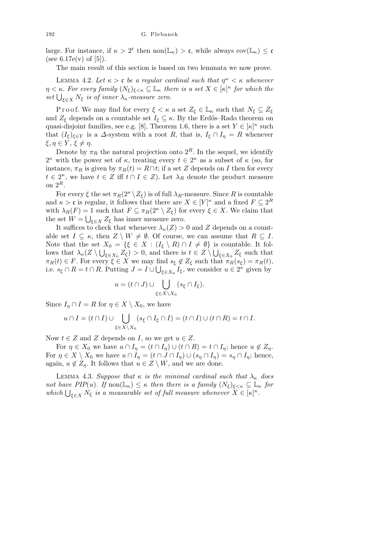large. For instance, if  $\kappa > 2^c$  then non $(\mathbb{L}_{\kappa}) > c$ , while always cov $(\mathbb{L}_{\kappa}) \leq c$ (see 6.17e(v) of [5]).

The main result of this section is based on two lemmata we now prove.

LEMMA 4.2. Let  $\kappa > c$  be a regular cardinal such that  $\eta^{\omega} < \kappa$  whenever  $\eta < \kappa$ *. For every family*  $(N_{\xi})_{\xi < \kappa} \subseteq \mathbb{L}_{\kappa}$  *there is a set*  $X \in [\kappa]^{\kappa}$  *for which the*  $\mathcal{S}_l = \mathcal{S}_k$ . For every jamuy  $\left(\frac{N_{\xi}}{\xi \xi \kappa} \leq \mathbb{L}_{\kappa}\right)$  in  $\mathcal{S}_k = \mathcal{S}_k$  and  $\mathcal{S}_k = \mathcal{S}_k$ .

Proof. We may find for every  $\xi < \kappa$  a set  $Z_{\xi} \in \mathbb{L}_{\kappa}$  such that  $N_{\xi} \subseteq Z_{\xi}$ and  $Z_{\xi}$  depends on a countable set  $I_{\xi} \subseteq \kappa$ . By the Erdős–Rado theorem on quasi-disjoint families, see e.g. [8], Theorem 1.6, there is a set  $Y \in [\kappa]^{\kappa}$  such that  $(I_{\xi})_{\xi \in Y}$  is a  $\Delta$ -system with a root *R*, that is,  $I_{\xi} \cap I_{\eta} = R$  whenever *ξ, η*  $∈$  *Y, ξ*  $≠$  *η*.

Denote by  $\pi_R$  the natural projection onto  $2^R$ . In the sequel, we identify <sup>*κ*</sup> with the power set of *κ*, treating every *t*  $∈$  2<sup>*κ*</sup> as a subset of *κ* (so, for instance,  $\pi_R$  is given by  $\pi_R(t) = R \cap t$ ; if a set *Z* depends on *I* then for every  $t \in 2^{\kappa}$ , we have  $t \in Z$  iff  $t \cap I \in Z$ ). Let  $\lambda_R$  denote the product measure on 2*<sup>R</sup>*.

For every  $\xi$  the set  $\pi_R(2^{\kappa} \setminus Z_{\xi})$  is of full  $\lambda_R$ -measure. Since R is countable and  $\kappa > \mathfrak{c}$  is regular, it follows that there are  $X \in [Y]^{\kappa}$  and a fixed  $F \subseteq 2^R$ with  $\lambda_R(F) = 1$  such that  $F \subseteq \pi_R(2^{\kappa} \setminus Z_{\xi})$  for every  $\xi \in X$ . We claim that the set  $W = \bigcup_{\xi \in X} Z_{\xi}$  has inner measure zero.

It suffices to check that whenever  $\lambda_{\kappa}(Z) > 0$  and *Z* depends on a countable set  $I \subseteq \kappa$ , then  $Z \setminus W \neq \emptyset$ . Of course, we can assume that  $R \subseteq I$ . Note that the set  $X_0 = \{ \xi \in X : (I_{\xi} \setminus R) \cap I \neq \emptyset \}$  is countable. It follows that  $\lambda_{\kappa}(Z \setminus \bigcup_{\xi \in X_0} Z_{\xi}) > 0$ , and there is  $t \in Z \setminus \bigcup_{\xi \in X_0} Z_{\xi}$  such that  $\pi_R(t) \in F$ . For every  $\xi \in X$  we may find  $s_{\xi} \notin Z_{\xi}$  such that  $\pi_R(s_{\xi}) = \pi_R(t)$ , i.e.  $s_{\xi} \cap R = t \cap R$ . Putting  $J = I \cup \bigcup_{\xi \in X_0} I_{\xi}$ , we consider  $u \in 2^{\kappa}$  given by

$$
u = (t \cap J) \cup \bigcup_{\xi \in X \setminus X_0} (s_{\xi} \cap I_{\xi}).
$$

Since  $I_{\eta} \cap I = R$  for  $\eta \in X \setminus X_0$ , we have

$$
u \cap I = (t \cap I) \cup \bigcup_{\xi \in X \setminus X_0} (s_{\xi} \cap I_{\xi} \cap I) = (t \cap I) \cup (t \cap R) = t \cap I.
$$

Now  $t \in Z$  and  $Z$  depends on  $I$ , so we get  $u \in Z$ .

For  $\eta \in X_0$  we have  $u \cap I_n = (t \cap I_n) \cup (t \cap R) = t \cap I_n$ ; hence  $u \notin Z_n$ . For  $\eta \in X \setminus X_0$  we have  $u \cap I_\eta = (t \cap J \cap I_\eta) \cup (s_\eta \cap I_\eta) = s_\eta \cap I_\eta$ ; hence, again,  $u \notin Z_n$ . It follows that  $u \in Z \setminus W$ , and we are done.

LEMMA 4.3. *Suppose that*  $\kappa$  *is the minimal cardinal such that*  $\lambda_{\kappa}$  *does not have PIP*(*u*)*. If*  $\text{non}(\mathbb{L}_{\kappa}) \leq \kappa$  *then there is a family*  $(N_{\xi})_{\xi < \kappa} \subseteq \mathbb{L}_{\kappa}$  *for which*  $\bigcup_{\xi \in X} N_{\xi}$  *is a measurable set of full measure whenever*  $X \in [\kappa]^{\kappa}$ .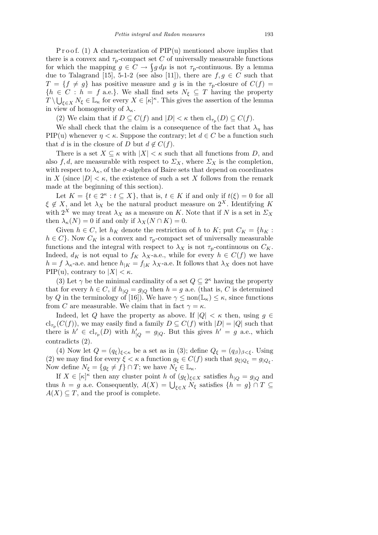P r o o f. (1) A characterization of  $\text{PIP}(u)$  mentioned above implies that there is a convex and  $\tau_p$ -compact set *C* of universally measurable functions for which the mapping  $g \in C \to \int g d\mu$  is not  $\tau_p$ -continuous. By a lemma due to Talagrand [15], 5-1-2 (see also [11]), there are  $f, g \in C$  such that  $T = \{f \neq g\}$  has positive measure and *g* is in the  $\tau_p$ -closure of  $C(f)$  ${h \in C : h = f \text{ a.e.}}$ . We shall find sets  $N_{\xi} \subseteq T$  having the property  $T \setminus \bigcup_{\xi \in X} N_{\xi} \in \mathbb{L}_{\kappa}$  for every  $X \in [\kappa]^{\kappa}$ . This gives the assertion of the lemma in view of homogeneity of  $\lambda_{\kappa}$ .

(2) We claim that if  $D \subseteq C(f)$  and  $|D| < \kappa$  then  $\mathrm{cl}_{\tau_p}(D) \subseteq C(f)$ .

We shall check that the claim is a consequence of the fact that  $\lambda_n$  has PIP(u) whenever  $\eta < \kappa$ . Suppose the contrary; let  $d \in C$  be a function such that *d* is in the closure of *D* but  $d \notin C(f)$ .

There is a set  $X \subseteq \kappa$  with  $|X| < \kappa$  such that all functions from *D*, and also  $f, d$ , are measurable with respect to  $\varSigma_X$ , where  $\varSigma_X$  is the completion, with respect to  $\lambda_{\kappa}$ , of the  $\sigma$ -algebra of Baire sets that depend on coordinates in *X* (since  $|D| < \kappa$ , the existence of such a set *X* follows from the remark made at the beginning of this section).

Let  $K = \{t \in 2^{\kappa} : t \subseteq X\}$ , that is,  $t \in K$  if and only if  $t(\xi) = 0$  for all  $\xi \notin X$ , and let  $\lambda_X$  be the natural product measure on  $2^X$ . Identifying *K* with  $2^X$  we may treat  $\lambda_X$  as a measure on *K*. Note that if *N* is a set in  $\varSigma_X$ then  $\lambda_{\kappa}(N) = 0$  if and only if  $\lambda_{X}(N \cap K) = 0$ .

Given  $h \in C$ , let  $h_K$  denote the restriction of  $h$  to  $K$ ; put  $C_K = \{h_K :$  $h \in C$ <sup>}</sup>. Now  $C_K$  is a convex and  $\tau_p$ -compact set of universally measurable functions and the integral with respect to  $\lambda_X$  is not  $\tau_p$ -continuous on  $C_K$ . Indeed,  $d_K$  is not equal to  $f_K \lambda_X$ -a.e., while for every  $h \in C(f)$  we have  $h = f \lambda_{\kappa}$ -a.e. and hence  $h_{|K} = f_{|K} \lambda_{X}$ -a.e. It follows that  $\lambda_{X}$  does not have PIP(u), contrary to  $|X| < \kappa$ .

(3) Let  $\gamma$  be the minimal cardinality of a set  $Q \subseteq 2^{\kappa}$  having the property that for every  $h \in C$ , if  $h_{|Q} = g_{|Q}$  then  $h = g$  a.e. (that is, C is determined by *Q* in the terminology of [16]). We have  $\gamma \leq \text{non}(\mathbb{L}_{\kappa}) \leq \kappa$ , since functions from *C* are measurable. We claim that in fact  $\gamma = \kappa$ .

Indeed, let *Q* have the property as above. If  $|Q| < \kappa$  then, using  $g \in$  $\text{cl}_{\tau_{\text{p}}}(C(f))$ , we may easily find a family  $D \subseteq C(f)$  with  $|D| = |Q|$  such that there is  $h' \in \text{cl}_{\tau_p}(D)$  with  $h'_{|Q} = g_{|Q}$ . But this gives  $h' = g$  a.e., which contradicts (2).

(4) Now let  $Q = (q_{\xi})_{\xi < \kappa}$  be a set as in (3); define  $Q_{\xi} = (q_{\beta})_{\beta < \xi}$ . Using (2) we may find for every  $\xi < \kappa$  a function  $g_{\xi} \in C(f)$  such that  $g_{\xi|Q_{\xi}} = g_{|Q_{\xi}}$ . Now define  $N_{\xi} = \{g_{\xi} \neq f\} \cap T$ ; we have  $N_{\xi} \in \mathbb{L}_{\kappa}$ .

If  $X \in [\kappa]^{\kappa}$  then any cluster point *h* of  $(g_{\xi})_{\xi \in X}$  satisfies  $h_{\vert Q} = g_{\vert Q}$  and  $\text{if } \{A \in [K] \text{ then any cluster point } h \text{ of } (g_{\xi})_{\xi \in X} \text{ satisfies } h_{|Q} = g_{|Q} \text{ and } h$ <br>thus  $h = g$  a.e. Consequently,  $A(X) = \bigcup_{\xi \in X} N_{\xi}$  satisfies  $\{h = g\} \cap T \subseteq$  $A(X) \subseteq T$ , and the proof is complete.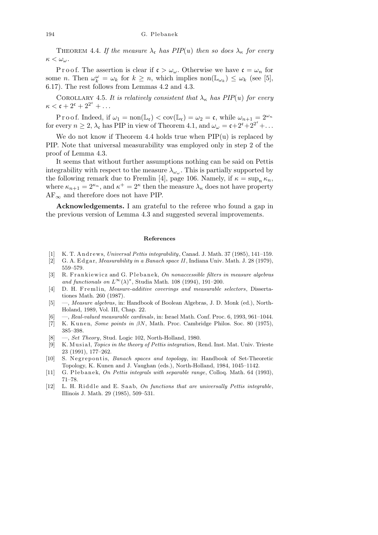THEOREM 4.4. If the measure  $\lambda_c$  has PIP(*u*) then so does  $\lambda_{\kappa}$  for every *κ < ωω.*

P r o o f. The assertion is clear if  $\mathfrak{c} > \omega_\omega$ . Otherwise we have  $\mathfrak{c} = \omega_n$  for some *n*. Then  $\omega_k^{\omega} = \omega_k$  for  $k \geq n$ , which implies non $(\mathbb{L}_{\omega_k}) \leq \omega_k$  (see [5], 6.17). The rest follows from Lemmas 4.2 and 4.3.

COROLLARY 4.5. It is relatively consistent that  $\lambda_{\kappa}$  has PIP(*u*) for every  $\kappa < \mathfrak{c} + 2^{\mathfrak{c}} + 2^{2^{\mathfrak{c}}} + \dots$ 

P r o o f. Indeed, if  $\omega_1 = \text{non}(\mathbb{L}_{\mathfrak{c}}) < \text{cov}(\mathbb{L}_{\mathfrak{c}}) = \omega_2 = \mathfrak{c}$ , while  $\omega_{n+1} = 2^{\omega_n}$ for every  $n \ge 2$ ,  $\lambda_c$  has PIP in view of Theorem 4.1, and  $\omega_\omega = c + 2^c + 2^{2^c} + \dots$ 

We do not know if Theorem 4.4 holds true when  $\text{PIP}(\mathbf{u})$  is replaced by PIP. Note that universal measurability was employed only in step 2 of the proof of Lemma 4.3.

It seems that without further assumptions nothing can be said on Pettis integrability with respect to the measure  $\lambda_{\omega_{\omega}}$ . This is partially supported by the following remark due to Fremlin [4], page 106. Namely, if  $\kappa = \sup_n \kappa_n$ , where  $\kappa_{n+1} = 2^{\kappa_n}$ , and  $\kappa^+ = 2^{\kappa}$  then the measure  $\lambda_{\kappa}$  does not have property  $AF<sub>∞</sub>$  and therefore does not have PIP.

**Acknowledgements.** I am grateful to the referee who found a gap in the previous version of Lemma 4.3 and suggested several improvements.

## **References**

- [1] K. T. A n d r ew s, *Universal Pettis integrability*, Canad. J. Math. 37 (1985), 141–159.
- [2] G. A. Edgar, *Measurability in a Banach space II*, Indiana Univ. Math. J. 28 (1979), 559–579.
- [3] R. Frankiewicz and G. Plebanek, *On nonaccessible filters in measure algebras* and functionals on  $L^{\infty}(\lambda)^*$ , Studia Math. 108 (1994), 191–200.
- [4] D. H. Fremlin, *Measure-additive coverings and measurable selectors*, Dissertationes Math. 260 (1987).
- [5] —, *Measure algebras*, in: Handbook of Boolean Algebras, J. D. Monk (ed.), North-Holand, 1989, Vol. III, Chap. 22.
- [6] —, *Real-valued measurable cardinals*, in: Israel Math. Conf. Proc. 6, 1993, 961–1044.
- [7] K. Kunen, *Some points in βN*, Math. Proc. Cambridge Philos. Soc. 80 (1975), 385–398.
- [8] —, *Set Theory*, Stud. Logic 102, North-Holland, 1980.
- [9] K. Musiał, *Topics in the theory of Pettis integration*, Rend. Inst. Mat. Univ. Trieste 23 (1991), 177–262.
- [10] S. Negrepontis, *Banach spaces and topology*, in: Handbook of Set-Theoretic Topology, K. Kunen and J. Vaughan (eds.), North-Holland, 1984, 1045–1142.
- [11] G. Plebanek, *On Pettis integrals with separable range*, Colloq. Math. 64 (1993), 71–78.
- [12] L. H. Riddle and E. Saab, *On functions that are universally Pettis integrable*, Illinois J. Math. 29 (1985), 509–531.